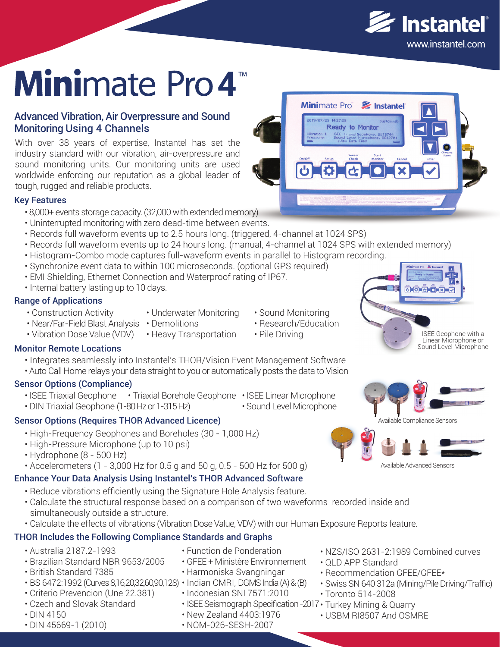

# **Minimate Pro 4**

## Advanced Vibration, Air Overpressure and Sound Monitoring Using 4 Channels

With over 38 years of expertise, Instantel has set the industry standard with our vibration, air-overpressure and sound monitoring units. Our monitoring units are used worldwide enforcing our reputation as a global leader of tough, rugged and reliable products.

## Key Features

- 8,000+ events storage capacity. (32,000 with extended memory)
- Uninterrupted monitoring with zero dead-time between events.
- Records full waveform events up to 2.5 hours long. (triggered, 4-channel at 1024 SPS)
- Records full waveform events up to 24 hours long. (manual, 4-channel at 1024 SPS with extended memory)
- Histogram-Combo mode captures full-waveform events in parallel to Histogram recording.
- Synchronize event data to within 100 microseconds. (optional GPS required)
- EMI Shielding, Ethernet Connection and Waterproof rating of IP67.
- Internal battery lasting up to 10 days.

## Range of Applications

- Construction Activity
- Near/Far-Field Blast Analysis Demolitions
- Vibration Dose Value (VDV)
- Underwater Monitoring
	- Heavy Transportation
- Sound Monitoring
- Research/Education

**Mini**mate Pro

Ready to Monitor

 $\geq$  Instantel

• Pile Driving

## Monitor Remote Locations

- Integrates seamlessly into Instantel's THOR/Vision Event Management Software
- Auto Call Home relays your data straight to you or automatically posts the data to Vision

## Sensor Options (Compliance)

- ISEE Triaxial Geophone Triaxial Borehole Geophone ISEE Linear Microphone
- DIN Triaxial Geophone (1-80 Hz or 1-315 Hz) • Sound Level Microphone

## Sensor Options (Requires THOR Advanced Licence)

- High-Frequency Geophones and Boreholes (30 1,000 Hz)
- High-Pressure Microphone (up to 10 psi)
- Hydrophone (8 500 Hz)
- Accelerometers (1 3,000 Hz for 0.5 g and 50 g, 0.5 500 Hz for 500 g)

## Enhance Your Data Analysis Using Instantel's THOR Advanced Software

- Reduce vibrations efficiently using the Signature Hole Analysis feature.
- Calculate the structural response based on a comparison of two waveforms recorded inside and simultaneously outside a structure.
- Calculate the effects of vibrations (Vibration Dose Value, VDV) with our Human Exposure Reports feature.

## THOR Includes the Following Compliance Standards and Graphs

- Australia 2187.2-1993
- Brazilian Standard NBR 9653/2005
- British Standard 7385
- BS 6472:1992 (Curves 8,16,20,32,60,90,128) Indian CMRI, DGMS India (A) & (B)
- Criterio Prevencion (Une 22.381)
- Czech and Slovak Standard
- DIN 4150
- DIN 45669-1 (2010)
- Function de Ponderation
- GFEE + Ministère Environnement
- Harmoniska Svangningar
- 
- Indonesian SNI 7571:2010
- ISEE Seismograph Specification -2017 Turkey Mining & Quarry
- New Zealand 4403:1976
- NOM-026-SESH-2007
- NZS/ISO 2631-2:1989 Combined curves
- QLD APP Standard
- Recommendation GFEE/GFEE\*
- Swiss SN 640 312a (Mining/Pile Driving/Traffic)
- Toronto 514-2008
- 
- USBM RI8507 And OSMRE







Available Advanced Sensors